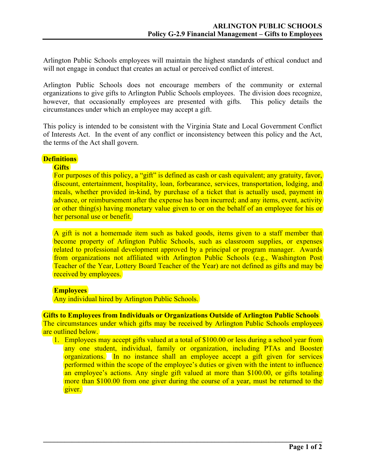Arlington Public Schools employees will maintain the highest standards of ethical conduct and will not engage in conduct that creates an actual or perceived conflict of interest.

Arlington Public Schools does not encourage members of the community or external organizations to give gifts to Arlington Public Schools employees. The division does recognize, however, that occasionally employees are presented with gifts. This policy details the circumstances under which an employee may accept a gift.

This policy is intended to be consistent with the Virginia State and Local Government Conflict of Interests Act. In the event of any conflict or inconsistency between this policy and the Act, the terms of the Act shall govern.

# **Definitions**

#### **Gifts**

For purposes of this policy, a "gift" is defined as cash or cash equivalent; any gratuity, favor, discount, entertainment, hospitality, loan, forbearance, services, transportation, lodging, and meals, whether provided in-kind, by purchase of a ticket that is actually used, payment in advance, or reimbursement after the expense has been incurred; and any items, event, activity or other thing(s) having monetary value given to or on the behalf of an employee for his or her personal use or benefit.

A gift is not a homemade item such as baked goods, items given to a staff member that become property of Arlington Public Schools, such as classroom supplies, or expenses related to professional development approved by a principal or program manager. Awards from organizations not affiliated with Arlington Public Schools (e.g., Washington Post Teacher of the Year, Lottery Board Teacher of the Year) are not defined as gifts and may be received by employees.

#### **Employees**

Any individual hired by Arlington Public Schools.

**Gifts to Employees from Individuals or Organizations Outside of Arlington Public Schools** The circumstances under which gifts may be received by Arlington Public Schools employees are outlined below.

1. Employees may accept gifts valued at a total of \$100.00 or less during a school year from any one student, individual, family or organization, including PTAs and Booster organizations. In no instance shall an employee accept a gift given for services performed within the scope of the employee's duties or given with the intent to influence an employee's actions. Any single gift valued at more than \$100.00, or gifts totaling more than \$100.00 from one giver during the course of a year, must be returned to the giver.

 $\mathcal{L}_\mathcal{L} = \{ \mathcal{L}_\mathcal{L} = \{ \mathcal{L}_\mathcal{L} = \{ \mathcal{L}_\mathcal{L} = \{ \mathcal{L}_\mathcal{L} = \{ \mathcal{L}_\mathcal{L} = \{ \mathcal{L}_\mathcal{L} = \{ \mathcal{L}_\mathcal{L} = \{ \mathcal{L}_\mathcal{L} = \{ \mathcal{L}_\mathcal{L} = \{ \mathcal{L}_\mathcal{L} = \{ \mathcal{L}_\mathcal{L} = \{ \mathcal{L}_\mathcal{L} = \{ \mathcal{L}_\mathcal{L} = \{ \mathcal{L}_\mathcal{$